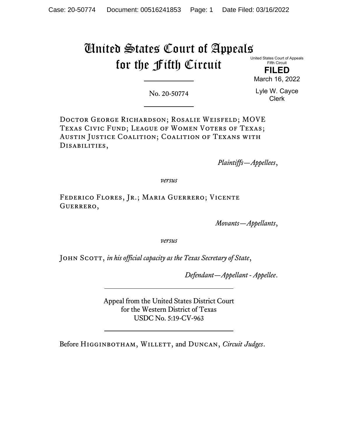# United States Court of Appeals for the Fifth Circuit

United States Court of Appeals Fifth Circuit **FILED**

March 16, 2022

No. 20-50774

Lyle W. Cayce Clerk

Doctor George Richardson; Rosalie Weisfeld; MOVE Texas Civic Fund; League of Women Voters of Texas; Austin Justice Coalition; Coalition of Texans with Disabilities,

*Plaintiffs—Appellees*,

*versus*

Federico Flores, Jr.; Maria Guerrero; Vicente Guerrero,

*Movants—Appellants*,

*versus*

John Scott, *in his official capacity as the Texas Secretary of State*,

*Defendant—Appellant - Appellee*.

Appeal from the United States District Court for the Western District of Texas USDC No. 5:19-CV-963

Before Higginbotham, Willett, and Duncan, *Circuit Judges*.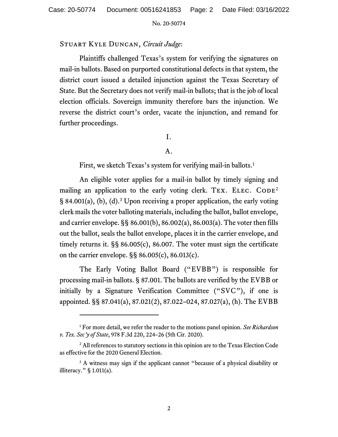# Stuart Kyle Duncan, *Circuit Judge*:

Plaintiffs challenged Texas's system for verifying the signatures on mail-in ballots. Based on purported constitutional defects in that system, the district court issued a detailed injunction against the Texas Secretary of State. But the Secretary does not verify mail-in ballots; that is the job of local election officials. Sovereign immunity therefore bars the injunction. We reverse the district court's order, vacate the injunction, and remand for further proceedings.

# I.

# A.

First, we sketch Texas's system for verifying mail-in ballots.<sup>[1](#page-1-0)</sup>

An eligible voter applies for a mail-in ballot by timely signing and mailing an application to the early voting clerk. TEX. ELEC.  $CODE<sup>2</sup>$  $CODE<sup>2</sup>$  $CODE<sup>2</sup>$  $\S$  84.001(a), (b), (d).<sup>[3](#page-1-2)</sup> Upon receiving a proper application, the early voting clerk mails the voter balloting materials, including the ballot, ballot envelope, and carrier envelope. §§ 86.001(b), 86.002(a), 86.003(a). The voter then fills out the ballot, seals the ballot envelope, places it in the carrier envelope, and timely returns it. §§ 86.005(c), 86.007. The voter must sign the certificate on the carrier envelope. §§ 86.005(c), 86.013(c).

The Early Voting Ballot Board ("EVBB") is responsible for processing mail-in ballots. § 87.001. The ballots are verified by the EVBB or initially by a Signature Verification Committee ("SVC"), if one is appointed. §§ 87.041(a), 87.021(2), 87.022–024, 87.027(a), (h). The EVBB

<span id="page-1-0"></span><sup>1</sup> For more detail, we refer the reader to the motions panel opinion. *See Richardson v. Tex. Sec'y of State*, 978 F.3d 220, 224–26 (5th Cir. 2020).

<span id="page-1-1"></span><sup>&</sup>lt;sup>2</sup> All references to statutory sections in this opinion are to the Texas Election Code as effective for the 2020 General Election.

<span id="page-1-2"></span><sup>&</sup>lt;sup>3</sup> A witness may sign if the applicant cannot "because of a physical disability or illiteracy." § 1.011(a).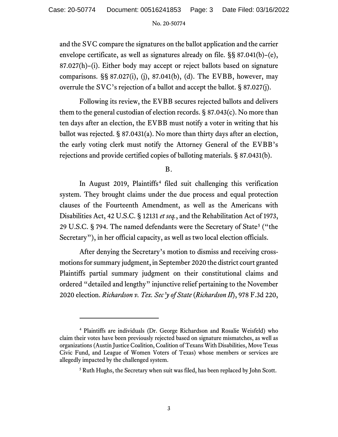and the SVC compare the signatures on the ballot application and the carrier envelope certificate, as well as signatures already on file. §§ 87.041(b)–(e), 87.027(h)–(i). Either body may accept or reject ballots based on signature comparisons. §§ 87.027(i), (j), 87.041(b), (d). The EVBB, however, may overrule the SVC's rejection of a ballot and accept the ballot. § 87.027(j).

Following its review, the EVBB secures rejected ballots and delivers them to the general custodian of election records. § 87.043(c). No more than ten days after an election, the EVBB must notify a voter in writing that his ballot was rejected. § 87.0431(a). No more than thirty days after an election, the early voting clerk must notify the Attorney General of the EVBB's rejections and provide certified copies of balloting materials. § 87.0431(b).

# B.

In August 2019, Plaintiffs<sup>[4](#page-2-0)</sup> filed suit challenging this verification system. They brought claims under the due process and equal protection clauses of the Fourteenth Amendment, as well as the Americans with Disabilities Act, 42 U.S.C. § 12131 *et seq.*, and the Rehabilitation Act of 1973, 29 U.S.C. § 794. The named defendants were the Secretary of State<sup>[5](#page-2-1)</sup> ("the Secretary"), in her official capacity, as well as two local election officials.

After denying the Secretary's motion to dismiss and receiving crossmotions for summary judgment, in September 2020 the district court granted Plaintiffs partial summary judgment on their constitutional claims and ordered "detailed and lengthy" injunctive relief pertaining to the November 2020 election. *Richardson v. Tex. Sec'y of State* (*Richardson II*), 978 F.3d 220,

<span id="page-2-1"></span><span id="page-2-0"></span><sup>4</sup> Plaintiffs are individuals (Dr. George Richardson and Rosalie Weisfeld) who claim their votes have been previously rejected based on signature mismatches, as well as organizations(Austin Justice Coalition, Coalition of Texans With Disabilities, Move Texas Civic Fund, and League of Women Voters of Texas) whose members or services are allegedly impacted by the challenged system.

<sup>&</sup>lt;sup>5</sup> Ruth Hughs, the Secretary when suit was filed, has been replaced by John Scott.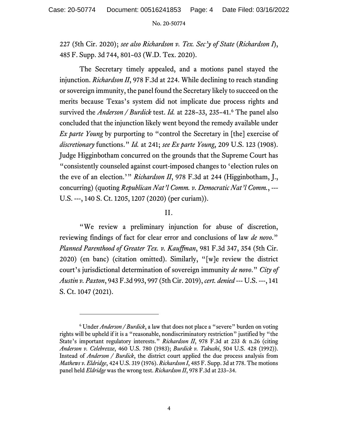227 (5th Cir. 2020); *see also Richardson v. Tex. Sec'y of State* (*Richardson I*), 485 F. Supp. 3d 744, 801–03 (W.D. Tex. 2020).

The Secretary timely appealed, and a motions panel stayed the injunction. *Richardson II*, 978 F.3d at 224. While declining to reach standing or sovereign immunity, the panel found the Secretary likely to succeed on the merits because Texas's system did not implicate due process rights and survived the *Anderson / Burdick* test. *Id.* at 228–33, 235–41. [6](#page-3-0) The panel also concluded that the injunction likely went beyond the remedy available under *Ex parte Young* by purporting to "control the Secretary in [the] exercise of *discretionary* functions." *Id.* at 241; *see Ex parte Young*, 209 U.S. 123 (1908). Judge Higginbotham concurred on the grounds that the Supreme Court has "consistently counseled against court-imposed changes to 'election rules on the eve of an election.'" *Richardson II*, 978 F.3d at 244 (Higginbotham, J., concurring) (quoting *Republican Nat'l Comm. v. Democratic Nat'l Comm.*, --- U.S. ---, 140 S. Ct. 1205, 1207 (2020) (per curiam)).

# II.

"We review a preliminary injunction for abuse of discretion, reviewing findings of fact for clear error and conclusions of law *de novo*." *Planned Parenthood of Greater Tex. v. Kauffman*, 981 F.3d 347, 354 (5th Cir. 2020) (en banc) (citation omitted). Similarly, "[w]e review the district court's jurisdictional determination of sovereign immunity *de novo*." *City of Austin v. Paxton*, 943 F.3d 993, 997 (5th Cir. 2019), *cert. denied* --- U.S. ---, 141 S. Ct. 1047 (2021).

<span id="page-3-0"></span><sup>6</sup> Under *Anderson / Burdick*, a law that does not place a "severe" burden on voting rights will be upheld if it is a "reasonable, nondiscriminatory restriction" justified by "the State's important regulatory interests." *Richardson II*, 978 F.3d at 233 & n.26 (citing *Anderson v. Celebrezze*, 460 U.S. 780 (1983); *Burdick v. Takushi*, 504 U.S. 428 (1992)). Instead of *Anderson / Burdick*, the district court applied the due process analysis from *Mathews v. Eldridge*, 424 U.S. 319 (1976). *Richardson I*, 485 F. Supp. 3d at 778. The motions panel held *Eldridge* was the wrong test. *Richardson II*, 978 F.3d at 233–34.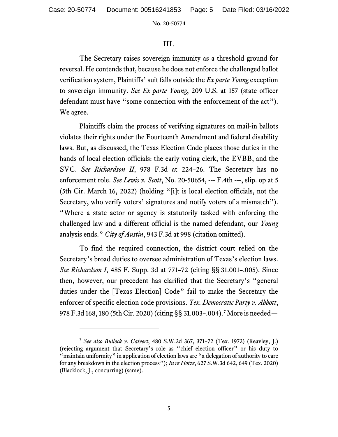## III.

The Secretary raises sovereign immunity as a threshold ground for reversal. He contends that, because he does not enforce the challenged ballot verification system, Plaintiffs' suit falls outside the *Ex parte Young* exception to sovereign immunity. *See Ex parte Young*, 209 U.S. at 157 (state officer defendant must have "some connection with the enforcement of the act"). We agree.

Plaintiffs claim the process of verifying signatures on mail-in ballots violates their rights under the Fourteenth Amendment and federal disability laws. But, as discussed, the Texas Election Code places those duties in the hands of local election officials: the early voting clerk, the EVBB, and the SVC. *See Richardson II*, 978 F.3d at 224–26. The Secretary has no enforcement role. *See Lewis v. Scott*, No. 20-50654, --- F.4th ---, slip. op at 5 (5th Cir. March 16, 2022) (holding "[i]t is local election officials, not the Secretary, who verify voters' signatures and notify voters of a mismatch"). "Where a state actor or agency is statutorily tasked with enforcing the challenged law and a different official is the named defendant, our *Young* analysis ends." *City of Austin*, 943 F.3d at 998 (citation omitted).

To find the required connection, the district court relied on the Secretary's broad duties to oversee administration of Texas's election laws. *See Richardson I*, 485 F. Supp. 3d at 771–72 (citing §§ 31.001–.005). Since then, however, our precedent has clarified that the Secretary's "general duties under the [Texas Election] Code" fail to make the Secretary the enforcer of specific election code provisions. *Tex. Democratic Party v. Abbott*, 978 F.3d 168, 180 (5th Cir. 2020) (citing §§ 31.003–.004).[7](#page-4-0) More is needed—

<span id="page-4-0"></span><sup>7</sup> *See also Bullock v. Calvert*, 480 S.W.2d 367, 371–72 (Tex. 1972) (Reavley, J.) (rejecting argument that Secretary's role as "chief election officer" or his duty to "maintain uniformity" in application of election laws are "a delegation of authority to care for any breakdown in the election process"); *In re Hotze*, 627 S.W.3d 642, 649 (Tex. 2020) (Blacklock, J., concurring) (same).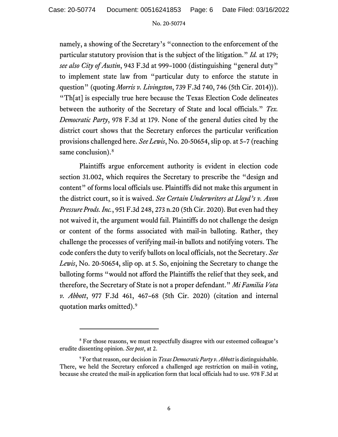namely, a showing of the Secretary's "connection to the enforcement of the particular statutory provision that is the subject of the litigation." *Id.* at 179; *see also City of Austin*, 943 F.3d at 999–1000 (distinguishing "general duty" to implement state law from "particular duty to enforce the statute in question" (quoting *Morris v. Livingston*, 739 F.3d 740, 746 (5th Cir. 2014))). "Th[at] is especially true here because the Texas Election Code delineates between the authority of the Secretary of State and local officials." *Tex. Democratic Party*, 978 F.3d at 179. None of the general duties cited by the district court shows that the Secretary enforces the particular verification provisions challenged here. *See Lewis*, No. 20-50654, slip op. at 5–7 (reaching same conclusion).<sup>[8](#page-5-0)</sup>

Plaintiffs argue enforcement authority is evident in election code section 31.002, which requires the Secretary to prescribe the "design and content" of forms local officials use. Plaintiffs did not make this argument in the district court, so it is waived. *See Certain Underwriters at Lloyd's v. Axon Pressure Prods. Inc.*, 951 F.3d 248, 273 n.20 (5th Cir. 2020). But even had they not waived it, the argument would fail. Plaintiffs do not challenge the design or content of the forms associated with mail-in balloting. Rather, they challenge the processes of verifying mail-in ballots and notifying voters. The code confers the duty to verify ballots on local officials, not the Secretary. *See Lewis*, No. 20-50654, slip op. at 5. So, enjoining the Secretary to change the balloting forms "would not afford the Plaintiffs the relief that they seek, and therefore, the Secretary of State is not a proper defendant." *Mi Familia Vota v. Abbott*, 977 F.3d 461, 467–68 (5th Cir. 2020) (citation and internal quotation marks omitted). [9](#page-5-1) 

<span id="page-5-0"></span><sup>&</sup>lt;sup>8</sup> For those reasons, we must respectfully disagree with our esteemed colleague's erudite dissenting opinion. *See post*, at 2.

<span id="page-5-1"></span><sup>9</sup> For that reason, our decision in *Texas Democratic Party v. Abbott* is distinguishable. There, we held the Secretary enforced a challenged age restriction on mail-in voting, because she created the mail-in application form that local officials had to use. 978 F.3d at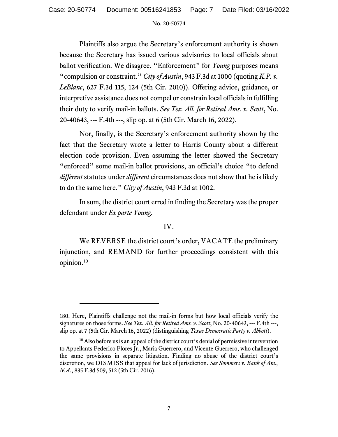Plaintiffs also argue the Secretary's enforcement authority is shown because the Secretary has issued various advisories to local officials about ballot verification. We disagree. "Enforcement" for *Young* purposes means "compulsion or constraint." *City of Austin*, 943 F.3d at 1000 (quoting *K.P. v. LeBlanc*, 627 F.3d 115, 124 (5th Cir. 2010)). Offering advice, guidance, or interpretive assistance does not compel or constrain local officials in fulfilling their duty to verify mail-in ballots. *See Tex. All. for Retired Ams. v. Scott*, No. 20-40643, --- F.4th ---, slip op. at 6 (5th Cir. March 16, 2022).

Nor, finally, is the Secretary's enforcement authority shown by the fact that the Secretary wrote a letter to Harris County about a different election code provision. Even assuming the letter showed the Secretary "enforced" some mail-in ballot provisions, an official's choice "to defend *different* statutes under *different* circumstances does not show that he is likely to do the same here." *City of Austin*, 943 F.3d at 1002.

In sum, the district court erred in finding the Secretary was the proper defendant under *Ex parte Young*.

## IV.

We REVERSE the district court's order, VACATE the preliminary injunction, and REMAND for further proceedings consistent with this opinion. [10](#page-6-0)

<sup>180.</sup> Here, Plaintiffs challenge not the mail-in forms but how local officials verify the signatures on those forms. *See Tex. All. for Retired Ams. v. Scott*, No. 20-40643, --- F.4th ---, slip op. at 7 (5th Cir. March 16, 2022) (distinguishing *Texas Democratic Party v. Abbott*).

<span id="page-6-0"></span><sup>&</sup>lt;sup>10</sup> Also before us is an appeal of the district court's denial of permissive intervention to Appellants Federico Flores Jr., Maria Guerrero, and Vicente Guerrero, who challenged the same provisions in separate litigation. Finding no abuse of the district court's discretion, we DISMISS that appeal for lack of jurisdiction. *See Sommers v. Bank of Am., N.A.*, 835 F.3d 509, 512 (5th Cir. 2016).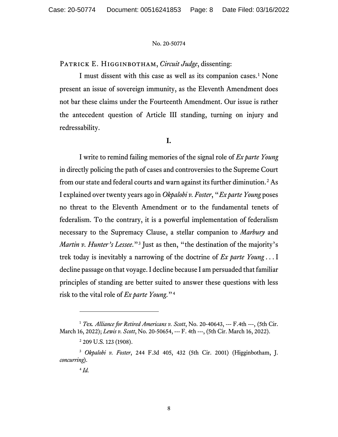PATRICK E. HIGGINBOTHAM, *Circuit Judge*, dissenting:

I must dissent with this case as well as its companion cases.<sup>[1](#page-7-0)</sup> None present an issue of sovereign immunity, as the Eleventh Amendment does not bar these claims under the Fourteenth Amendment. Our issue is rather the antecedent question of Article III standing, turning on injury and redressability.

# **I.**

I write to remind failing memories of the signal role of *Ex parte Young* in directly policing the path of cases and controversies to the Supreme Court from our state and federal courts and warn against its further diminution.[2](#page-7-1) As I explained over twenty years ago in *Okpalobi v. Foster*, "*Ex parte Young* poses no threat to the Eleventh Amendment or to the fundamental tenets of federalism. To the contrary, it is a powerful implementation of federalism necessary to the Supremacy Clause, a stellar companion to *Marbury* and *Martin v. Hunter's Lessee.*"<sup>[3](#page-7-2)</sup> Just as then, "the destination of the majority's trek today is inevitably a narrowing of the doctrine of *Ex parte Young* . . . I decline passage on that voyage. I decline because I am persuaded that familiar principles of standing are better suited to answer these questions with less risk to the vital role of *Ex parte Young*."[4](#page-7-3)

<span id="page-7-0"></span><sup>1</sup> *T*ex*. Alliance for Retired Americans v. Scott*, No. 20-40643, --- F.4th ---, (5th Cir. March 16, 2022); *Lewis v. Scott*, No. 20-50654, --- F. 4th ---, (5th Cir. March 16, 2022).

<sup>&</sup>lt;sup>2</sup> 209 U.S. 123 (1908).

<span id="page-7-3"></span><span id="page-7-2"></span><span id="page-7-1"></span><sup>3</sup> *Okpalobi v. Foster*, 244 F.3d 405, 432 (5th Cir. 2001) (Higginbotham, J. *concurring*).

<sup>4</sup> *Id.*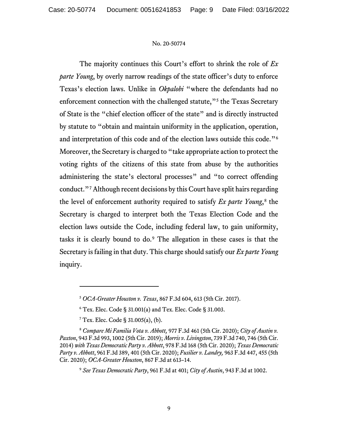The majority continues this Court's effort to shrink the role of *Ex parte Young*, by overly narrow readings of the state officer's duty to enforce Texas's election laws. Unlike in *Okpalobi* "where the defendants had no enforcement connection with the challenged statute,"<sup>[5](#page-8-0)</sup> the Texas Secretary of State is the "chief election officer of the state" and is directly instructed by statute to "obtain and maintain uniformity in the application, operation, and interpretation of this code and of the election laws outside this code."[6](#page-8-1) Moreover, the Secretary is charged to "take appropriate action to protect the voting rights of the citizens of this state from abuse by the authorities administering the state's electoral processes" and "to correct offending conduct."[7](#page-8-2) Although recent decisions by this Court have split hairs regarding the level of enforcement authority required to satisfy *Ex parte Young*,<sup>[8](#page-8-3)</sup> the Secretary is charged to interpret both the Texas Election Code and the election laws outside the Code, including federal law, to gain uniformity, tasks it is clearly bound to do.[9](#page-8-4) The allegation in these cases is that the Secretary is failing in that duty. This charge should satisfy our *Ex parte Young*  inquiry.

<sup>5</sup> *OCA-Greater Houston v. Texas*, 867 F.3d 604, 613 (5th Cir. 2017).

 $6$  Tex. Elec. Code § 31.001(a) and Tex. Elec. Code § 31.003.

 $7$  Tex. Elec. Code § 31.005(a), (b).

<span id="page-8-4"></span><span id="page-8-3"></span><span id="page-8-2"></span><span id="page-8-1"></span><span id="page-8-0"></span><sup>8</sup> *Compare Mi Familia Vota v. Abbott,* 977 F.3d 461 (5th Cir. 2020); *City of Austin v. Paxton*, 943 F.3d 993, 1002 (5th Cir. 2019); *Morris v. Livingston*, 739 F.3d 740, 746 (5th Cir. 2014) *with Texas Democratic Party v. Abbott*, 978 F.3d 168 (5th Cir. 2020); *Texas Democratic Party v. Abbott*, 961 F.3d 389, 401 (5th Cir. 2020); *Fusilier v. Landry,* 963 F.3d 447, 455 (5th Cir. 2020); *OCA-Greater Houston*, 867 F.3d at 613–14.

<sup>9</sup> *See Texas Democratic Party*, 961 F.3d at 401; *City of Austin*, 943 F.3d at 1002.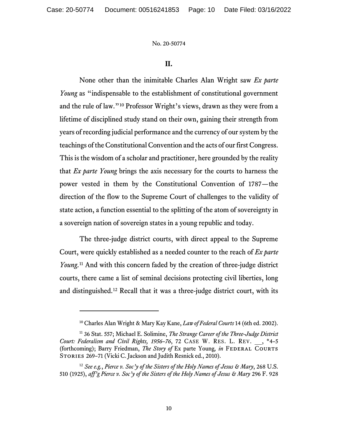## **II.**

None other than the inimitable Charles Alan Wright saw *Ex parte Young* as "indispensable to the establishment of constitutional government and the rule of law."[10](#page-9-0) Professor Wright's views, drawn as they were from a lifetime of disciplined study stand on their own, gaining their strength from years of recording judicial performance and the currency of our system by the teachings of the Constitutional Convention and the acts of our first Congress. This is the wisdom of a scholar and practitioner, here grounded by the reality that *Ex parte Young* brings the axis necessary for the courts to harness the power vested in them by the Constitutional Convention of 1787—the direction of the flow to the Supreme Court of challenges to the validity of state action, a function essential to the splitting of the atom of sovereignty in a sovereign nation of sovereign states in a young republic and today.

The three-judge district courts, with direct appeal to the Supreme Court, were quickly established as a needed counter to the reach of *Ex parte Young*. [11](#page-9-1) And with this concern faded by the creation of three-judge district courts, there came a list of seminal decisions protecting civil liberties, long and distinguished.[12](#page-9-2) Recall that it was a three-judge district court, with its

<sup>10</sup> Charles Alan Wright & Mary Kay Kane, *Law of Federal Courts* 14 (6th ed. 2002).

<span id="page-9-1"></span><span id="page-9-0"></span><sup>11</sup> 36 Stat. 557; Michael E. Solimine, *The Strange Career of the Three-Judge District Court: Federalism and Civil Rights, 1956–76*, 72 CASE W. RES. L. REV. \_\_, \*4–5 (forthcoming); Barry Friedman, *The Story of* Ex parte Young, *in* FEDERAL COURTS STORIES 269-71 (Vicki C. Jackson and Judith Resnick ed., 2010).

<span id="page-9-2"></span><sup>12</sup> *See e.g.*, *Pierce v. Soc'y of the Sisters of the Holy Names of Jesus & Mary*, 268 U.S. 510 (1925), *aff'g Pierce v. Soc'y of the Sisters of the Holy Names of Jesus & Mary* 296 F. 928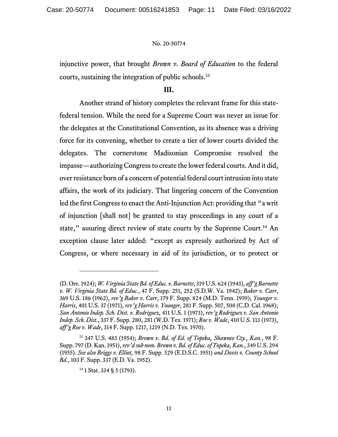injunctive power, that brought *Brown v. Board of Education* to the federal courts, sustaining the integration of public schools.[13](#page-10-0)

#### **III.**

Another strand of history completes the relevant frame for this statefederal tension. While the need for a Supreme Court was never an issue for the delegates at the Constitutional Convention, as its absence was a driving force for its convening, whether to create a tier of lower courts divided the delegates. The cornerstone Madisonian Compromise resolved the impasse—authorizing Congress to create the lower federal courts. And it did, over resistance born of a concern of potential federal court intrusion into state affairs, the work of its judiciary. That lingering concern of the Convention led the first Congress to enact the Anti-Injunction Act: providing that "a writ of injunction [shall not] be granted to stay proceedings in any court of a state," assuring direct review of state courts by the Supreme Court.<sup>[14](#page-10-1)</sup> An exception clause later added: "except as expressly authorized by Act of Congress, or where necessary in aid of its jurisdiction, or to protect or

<sup>(</sup>D. Ore. 1924); *W. Virginia State Bd. of Educ. v. Barnette*, 319 U.S. 624 (1943), *aff'g Barnette v. W. Virginia State Bd. of Educ.*, 47 F. Supp. 251, 252 (S.D.W. Va. 1942); *Baker v. Carr*, 369 U.S. 186 (1962), *rev'g Baker v. Carr*, 179 F. Supp. 824 (M.D. Tenn. 1959); *Younger v. Harris*, 401 U.S. 37 (1971), *rev'g Harris v. Younger*, 281 F. Supp. 507, 508 (C.D. Cal. 1968); *San Antonio Indep. Sch. Dist. v. Rodriguez*, 411 U.S. 1 (1973), *rev'g Rodriguez v. San Antonio Indep. Sch. Dist.*, 337 F. Supp. 280, 281 (W.D. Tex. 1971); *Roe v. Wade*, 410 U.S. 113 (1973), *aff'g Roe v. Wade*, 314 F. Supp. 1217, 1219 (N.D. Tex. 1970).

<span id="page-10-1"></span><span id="page-10-0"></span><sup>13</sup> 347 U.S. 483 (1954); *Brown v. Bd. of Ed. of Topeka, Shawnee Cty., Kan.*, 98 F. Supp. 797 (D. Kan. 1951),*rev'd sub nom. Brown v. Bd. of Educ. of Topeka, Kan.*, 349 U.S. 294 (1955). *See also Briggs v. Elliot,* 98 F. Supp. 529 (E.D.S.C. 1951) *and Davis v. County School Bd.*, 103 F. Supp. 337 (E.D. Va. 1952).

 $14$  1 Stat. 334 § 5 (1793).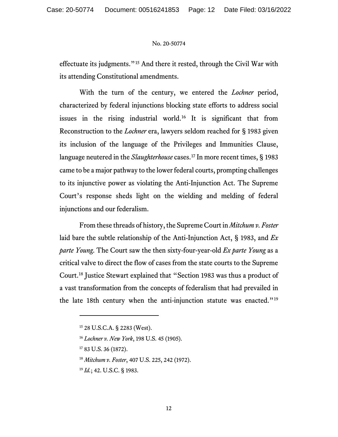effectuate its judgments."[15](#page-11-0) And there it rested, through the Civil War with its attending Constitutional amendments.

With the turn of the century, we entered the *Lochner* period, characterized by federal injunctions blocking state efforts to address social issues in the rising industrial world.[16](#page-11-1) It is significant that from Reconstruction to the *Lochner* era, lawyers seldom reached for § 1983 given its inclusion of the language of the Privileges and Immunities Clause, language neutered in the *Slaughterhouse* cases.[17](#page-11-2) In more recent times, § 1983 came to be a major pathway to the lower federal courts, prompting challenges to its injunctive power as violating the Anti-Injunction Act. The Supreme Court's response sheds light on the wielding and melding of federal injunctions and our federalism.

From these threads of history, the Supreme Court in *Mitchum v. Foster* laid bare the subtle relationship of the Anti-Injunction Act, § 1983, and *Ex parte Young*. The Court saw the then sixty-four-year-old *Ex parte Young* as a critical valve to direct the flow of cases from the state courts to the Supreme Court.[18](#page-11-3) Justice Stewart explained that "Section 1983 was thus a product of a vast transformation from the concepts of federalism that had prevailed in the late 18th century when the anti-injunction statute was enacted."<sup>[19](#page-11-4)</sup>

<sup>18</sup> *Mitchum v. Foster*, 407 U.S. 225, 242 (1972).

<span id="page-11-4"></span><sup>19</sup> *Id.*; 42. U.S.C. § 1983.

<span id="page-11-0"></span><sup>15</sup> 28 U.S.C.A. § 2283 (West).

<span id="page-11-1"></span><sup>16</sup> *Lochner v. New York*, 198 U.S. 45 (1905).

<span id="page-11-3"></span><span id="page-11-2"></span><sup>&</sup>lt;sup>17</sup> 83 U.S. 36 (1872).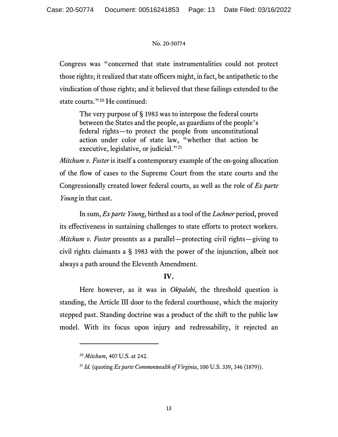Congress was "concerned that state instrumentalities could not protect those rights; it realized that state officers might, in fact, be antipathetic to the vindication of those rights; and it believed that these failings extended to the state courts."<sup>[20](#page-12-0)</sup> He continued:

The very purpose of § 1983 was to interpose the federal courts between the States and the people, as guardians of the people's federal rights—to protect the people from unconstitutional action under color of state law, "whether that action be executive, legislative, or judicial."<sup>[21](#page-12-1)</sup>

*Mitchum v. Foster* is itself a contemporary example of the on-going allocation of the flow of cases to the Supreme Court from the state courts and the Congressionally created lower federal courts, as well as the role of *Ex parte Young* in that cast.

In sum, *Ex parte Young*, birthed as a tool of the *Lochner* period, proved its effectiveness in sustaining challenges to state efforts to protect workers. *Mitchum v. Foster* presents as a parallel—protecting civil rights—giving to civil rights claimants a § 1983 with the power of the injunction, albeit not always a path around the Eleventh Amendment.

# **IV.**

Here however, as it was in *Okpalobi*, the threshold question is standing, the Article III door to the federal courthouse, which the majority stepped past. Standing doctrine was a product of the shift to the public law model. With its focus upon injury and redressability, it rejected an

<span id="page-12-0"></span><sup>20</sup> *Mitchum*, 407 U.S. at 242.

<span id="page-12-1"></span><sup>21</sup> *Id.* (quoting *Ex parte Commonwealth of Virginia*, 100 U.S. 339, 346 (1879)).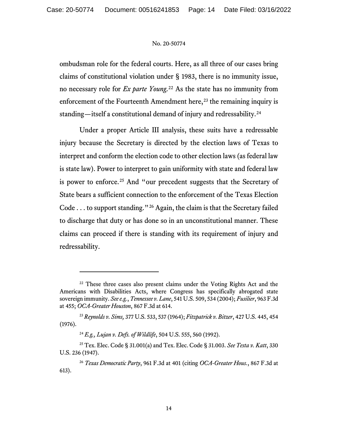ombudsman role for the federal courts. Here, as all three of our cases bring claims of constitutional violation under § 1983, there is no immunity issue, no necessary role for *Ex parte Young*. [22](#page-13-0) As the state has no immunity from enforcement of the Fourteenth Amendment here,<sup>[23](#page-13-1)</sup> the remaining inquiry is standing—itself a constitutional demand of injury and redressability.[24](#page-13-2)

Under a proper Article III analysis, these suits have a redressable injury because the Secretary is directed by the election laws of Texas to interpret and conform the election code to other election laws (as federal law is state law). Power to interpret to gain uniformity with state and federal law is power to enforce.<sup>[25](#page-13-3)</sup> And "our precedent suggests that the Secretary of State bears a sufficient connection to the enforcement of the Texas Election Code . . . to support standing."[26](#page-13-4) Again, the claim is that the Secretary failed to discharge that duty or has done so in an unconstitutional manner. These claims can proceed if there is standing with its requirement of injury and redressability.

<span id="page-13-0"></span><sup>&</sup>lt;sup>22</sup> These three cases also present claims under the Voting Rights Act and the Americans with Disabilities Acts, where Congress has specifically abrogated state sovereign immunity. *See e.g.*, *Tennessee v. Lane*, 541 U.S. 509, 534 (2004); *Fusilier*, 963 F.3d at 455; *OCA-Greater Houston*, 867 F.3d at 614.

<span id="page-13-1"></span><sup>23</sup> *Reynolds v. Sims,* 377 U.S. 533, 537 (1964); *Fitzpatrick v. Bitzer*, 427 U.S. 445, 454 (1976).

<sup>24</sup> *E.g., Lujan v. Defs. of Wildlife*, 504 U.S. 555, 560 (1992).

<span id="page-13-3"></span><span id="page-13-2"></span><sup>25</sup> Tex. Elec. Code § 31.001(a) and Tex. Elec. Code § 31.003. *See Testa v. Katt*, 330 U.S. 236 (1947).

<span id="page-13-4"></span><sup>26</sup> *Texas Democratic Party*, 961 F.3d at 401 (citing *OCA-Greater Hous.*, 867 F.3d at 613).